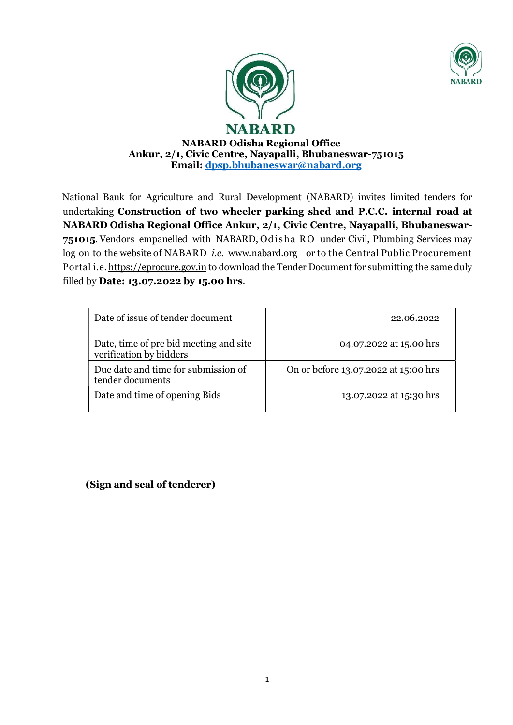



NABARD Odisha Regional Office Ankur, 2/1, Civic Centre, Nayapalli, Bhubaneswar-751015 Email: dpsp.bhubaneswar@nabard.org

National Bank for Agriculture and Rural Development (NABARD) invites limited tenders for undertaking Construction of two wheeler parking shed and P.C.C. internal road at NABARD Odisha Regional Office Ankur, 2/1, Civic Centre, Nayapalli, Bhubaneswar-751015. Vendors empanelled with NABARD, Od isha RO under Civil, Plumbing Services may log on to the website of NABARD *i.e.* www.nabard.org or to the Central Public Procurement Portal i.e. https://eprocure.gov.in to download the Tender Document for submitting the same duly filled by Date: 13.07.2022 by 15.00 hrs.

| Date of issue of tender document                                  | 22.06.2022                           |
|-------------------------------------------------------------------|--------------------------------------|
| Date, time of pre bid meeting and site<br>verification by bidders | 04.07.2022 at 15.00 hrs              |
| Due date and time for submission of<br>tender documents           | On or before 13.07.2022 at 15:00 hrs |
| Date and time of opening Bids                                     | 13.07.2022 at 15:30 hrs              |

(Sign and seal of tenderer)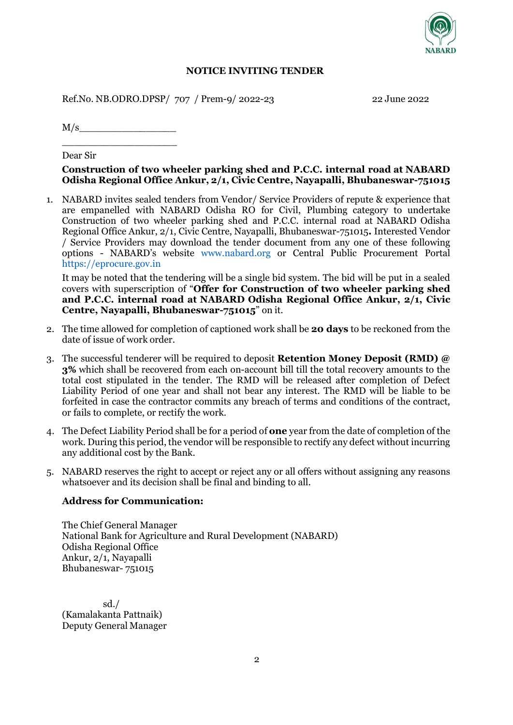

#### NOTICE INVITING TENDER

Ref.No. NB.ODRO.DPSP/ 707 / Prem-9/ 2022-23 22 June 2022

 $M/s$ 

 $\frac{1}{2}$  ,  $\frac{1}{2}$  ,  $\frac{1}{2}$  ,  $\frac{1}{2}$  ,  $\frac{1}{2}$  ,  $\frac{1}{2}$  ,  $\frac{1}{2}$  ,  $\frac{1}{2}$  ,  $\frac{1}{2}$  ,  $\frac{1}{2}$  ,  $\frac{1}{2}$ 

Dear Sir

### Construction of two wheeler parking shed and P.C.C. internal road at NABARD Odisha Regional Office Ankur, 2/1, Civic Centre, Nayapalli, Bhubaneswar-751015

1. NABARD invites sealed tenders from Vendor/ Service Providers of repute & experience that are empanelled with NABARD Odisha RO for Civil, Plumbing category to undertake Construction of two wheeler parking shed and P.C.C. internal road at NABARD Odisha Regional Office Ankur, 2/1, Civic Centre, Nayapalli, Bhubaneswar-751015. Interested Vendor / Service Providers may download the tender document from any one of these following options - NABARD's website www.nabard.org or Central Public Procurement Portal https://eprocure.gov.in

It may be noted that the tendering will be a single bid system. The bid will be put in a sealed covers with superscription of "Offer for Construction of two wheeler parking shed and P.C.C. internal road at NABARD Odisha Regional Office Ankur, 2/1, Civic Centre, Nayapalli, Bhubaneswar-751015" on it.

- 2. The time allowed for completion of captioned work shall be **20 days** to be reckoned from the date of issue of work order.
- 3. The successful tenderer will be required to deposit Retention Money Deposit (RMD) @ 3% which shall be recovered from each on-account bill till the total recovery amounts to the total cost stipulated in the tender. The RMD will be released after completion of Defect Liability Period of one year and shall not bear any interest. The RMD will be liable to be forfeited in case the contractor commits any breach of terms and conditions of the contract, or fails to complete, or rectify the work.
- 4. The Defect Liability Period shall be for a period of one year from the date of completion of the work. During this period, the vendor will be responsible to rectify any defect without incurring any additional cost by the Bank.
- 5. NABARD reserves the right to accept or reject any or all offers without assigning any reasons whatsoever and its decision shall be final and binding to all.

#### Address for Communication:

The Chief General Manager National Bank for Agriculture and Rural Development (NABARD) Odisha Regional Office Ankur, 2/1, Nayapalli Bhubaneswar- 751015

sd./ (Kamalakanta Pattnaik) Deputy General Manager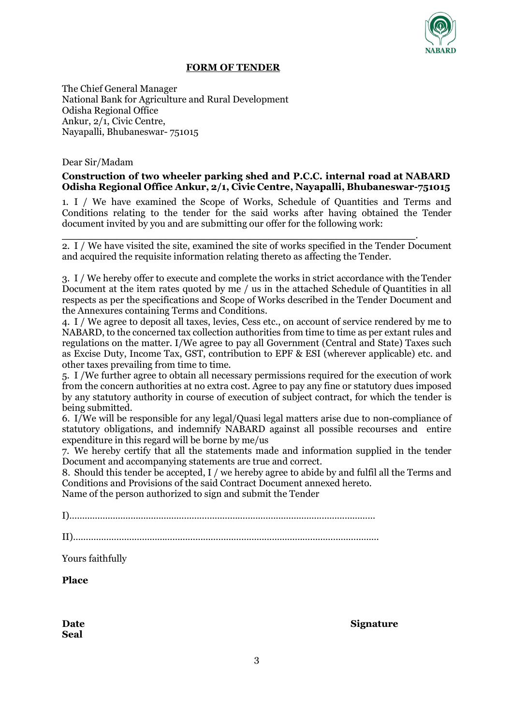

### FORM OF TENDER

The Chief General Manager National Bank for Agriculture and Rural Development Odisha Regional Office Ankur, 2/1, Civic Centre, Nayapalli, Bhubaneswar- 751015

#### Dear Sir/Madam

### Construction of two wheeler parking shed and P.C.C. internal road at NABARD Odisha Regional Office Ankur, 2/1, Civic Centre, Nayapalli, Bhubaneswar-751015

1. I / We have examined the Scope of Works, Schedule of Quantities and Terms and Conditions relating to the tender for the said works after having obtained the Tender document invited by you and are submitting our offer for the following work:

\_\_\_\_\_\_\_\_\_\_\_\_\_\_\_\_\_\_\_\_\_\_\_\_\_\_\_\_\_\_\_\_\_\_\_\_\_\_\_\_\_\_\_\_\_\_\_\_\_\_\_\_\_\_\_\_\_\_. 2. I / We have visited the site, examined the site of works specified in the Tender Document and acquired the requisite information relating thereto as affecting the Tender.

3. I / We hereby offer to execute and complete the works in strict accordance with the Tender Document at the item rates quoted by me / us in the attached Schedule of Quantities in all respects as per the specifications and Scope of Works described in the Tender Document and the Annexures containing Terms and Conditions.

4. I / We agree to deposit all taxes, levies, Cess etc., on account of service rendered by me to NABARD, to the concerned tax collection authorities from time to time as per extant rules and regulations on the matter. I/We agree to pay all Government (Central and State) Taxes such as Excise Duty, Income Tax, GST, contribution to EPF & ESI (wherever applicable) etc. and other taxes prevailing from time to time.

5. I /We further agree to obtain all necessary permissions required for the execution of work from the concern authorities at no extra cost. Agree to pay any fine or statutory dues imposed by any statutory authority in course of execution of subject contract, for which the tender is being submitted.

6. I/We will be responsible for any legal/Quasi legal matters arise due to non-compliance of statutory obligations, and indemnify NABARD against all possible recourses and entire expenditure in this regard will be borne by me/us

7. We hereby certify that all the statements made and information supplied in the tender Document and accompanying statements are true and correct.

8. Should this tender be accepted, I / we hereby agree to abide by and fulfil all the Terms and Conditions and Provisions of the said Contract Document annexed hereto.

Name of the person authorized to sign and submit the Tender

I)…………………………………………………………………………………………………………

II)…………………………………………………………………………………………………………

Yours faithfully

Place

Seal

Date Signature Signature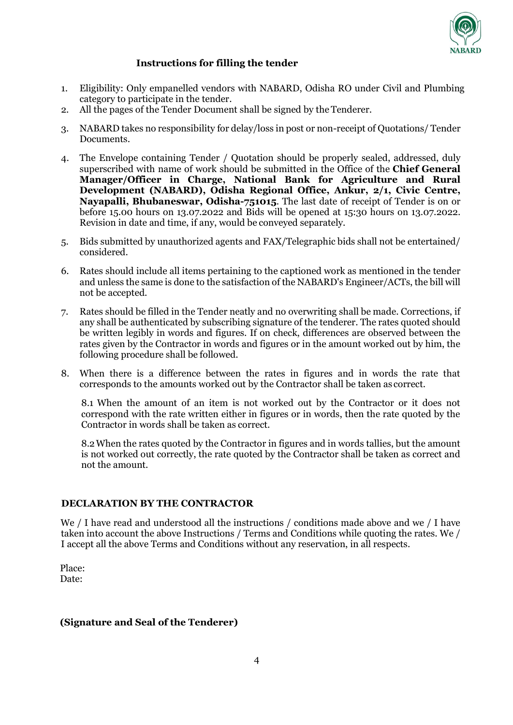

### Instructions for filling the tender

- 1. Eligibility: Only empanelled vendors with NABARD, Odisha RO under Civil and Plumbing category to participate in the tender.
- 2. All the pages of the Tender Document shall be signed by the Tenderer.
- 3. NABARD takes no responsibility for delay/loss in post or non-receipt of Quotations/ Tender Documents.
- 4. The Envelope containing Tender / Quotation should be properly sealed, addressed, duly superscribed with name of work should be submitted in the Office of the **Chief General** Manager/Officer in Charge, National Bank for Agriculture and Rural Development (NABARD), Odisha Regional Office, Ankur, 2/1, Civic Centre, Nayapalli, Bhubaneswar, Odisha-751015. The last date of receipt of Tender is on or before 15.00 hours on 13.07.2022 and Bids will be opened at 15:30 hours on 13.07.2022. Revision in date and time, if any, would be conveyed separately.
- 5. Bids submitted by unauthorized agents and FAX/Telegraphic bids shall not be entertained/ considered.
- 6. Rates should include all items pertaining to the captioned work as mentioned in the tender and unless the same is done to the satisfaction of the NABARD's Engineer/ACTs, the bill will not be accepted.
- 7. Rates should be filled in the Tender neatly and no overwriting shall be made. Corrections, if any shall be authenticated by subscribing signature of the tenderer. The rates quoted should be written legibly in words and figures. If on check, differences are observed between the rates given by the Contractor in words and figures or in the amount worked out by him, the following procedure shall be followed.
- 8. When there is a difference between the rates in figures and in words the rate that corresponds to the amounts worked out by the Contractor shall be taken as correct.

8.1 When the amount of an item is not worked out by the Contractor or it does not correspond with the rate written either in figures or in words, then the rate quoted by the Contractor in words shall be taken as correct.

8.2When the rates quoted by the Contractor in figures and in words tallies, but the amount is not worked out correctly, the rate quoted by the Contractor shall be taken as correct and not the amount.

### DECLARATION BY THE CONTRACTOR

We / I have read and understood all the instructions / conditions made above and we / I have taken into account the above Instructions / Terms and Conditions while quoting the rates. We / I accept all the above Terms and Conditions without any reservation, in all respects.

Place: Date:

### (Signature and Seal of the Tenderer)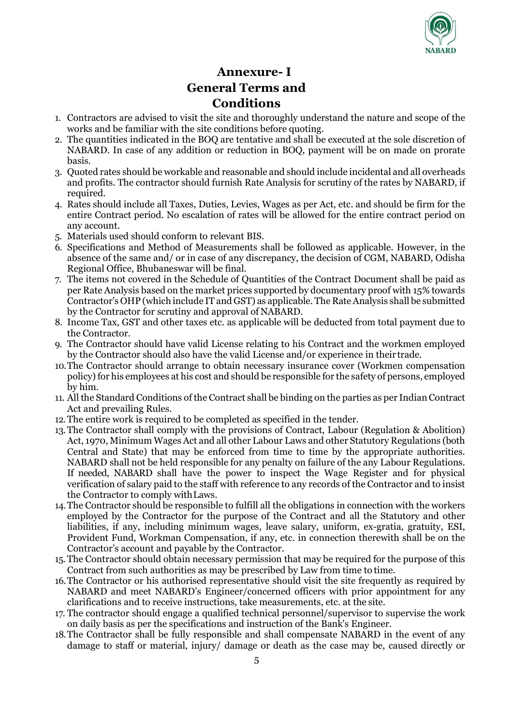

## Annexure- I General Terms and Conditions

- 1. Contractors are advised to visit the site and thoroughly understand the nature and scope of the works and be familiar with the site conditions before quoting.
- 2. The quantities indicated in the BOQ are tentative and shall be executed at the sole discretion of NABARD. In case of any addition or reduction in BOQ, payment will be on made on prorate basis.
- 3. Quoted rates should be workable and reasonable and should include incidental and all overheads and profits. The contractor should furnish Rate Analysis for scrutiny of the rates by NABARD, if required.
- 4. Rates should include all Taxes, Duties, Levies, Wages as per Act, etc. and should be firm for the entire Contract period. No escalation of rates will be allowed for the entire contract period on any account.
- 5. Materials used should conform to relevant BIS.
- 6. Specifications and Method of Measurements shall be followed as applicable. However, in the absence of the same and/ or in case of any discrepancy, the decision of CGM, NABARD, Odisha Regional Office, Bhubaneswar will be final.
- 7. The items not covered in the Schedule of Quantities of the Contract Document shall be paid as per Rate Analysis based on the market prices supported by documentary proof with 15% towards Contractor's OHP (which include IT and GST) as applicable. The Rate Analysis shall be submitted by the Contractor for scrutiny and approval of NABARD.
- 8. Income Tax, GST and other taxes etc. as applicable will be deducted from total payment due to the Contractor.
- 9. The Contractor should have valid License relating to his Contract and the workmen employed by the Contractor should also have the valid License and/or experience in their trade.
- 10.The Contractor should arrange to obtain necessary insurance cover (Workmen compensation policy) for his employees at his cost and should be responsible for the safety of persons, employed by him.
- 11. All the Standard Conditions of the Contract shall be binding on the parties as per Indian Contract Act and prevailing Rules.
- 12.The entire work is required to be completed as specified in the tender.
- 13.The Contractor shall comply with the provisions of Contract, Labour (Regulation & Abolition) Act, 1970, Minimum Wages Act and all other Labour Laws and other Statutory Regulations (both Central and State) that may be enforced from time to time by the appropriate authorities. NABARD shall not be held responsible for any penalty on failure of the any Labour Regulations. If needed, NABARD shall have the power to inspect the Wage Register and for physical verification of salary paid to the staff with reference to any records of the Contractor and to insist the Contractor to comply with Laws.
- 14.The Contractor should be responsible to fulfill all the obligations in connection with the workers employed by the Contractor for the purpose of the Contract and all the Statutory and other liabilities, if any, including minimum wages, leave salary, uniform, ex-gratia, gratuity, ESI, Provident Fund, Workman Compensation, if any, etc. in connection therewith shall be on the Contractor's account and payable by the Contractor.
- 15. The Contractor should obtain necessary permission that may be required for the purpose of this Contract from such authorities as may be prescribed by Law from time to time.
- 16.The Contractor or his authorised representative should visit the site frequently as required by NABARD and meet NABARD's Engineer/concerned officers with prior appointment for any clarifications and to receive instructions, take measurements, etc. at the site.
- 17. The contractor should engage a qualified technical personnel/supervisor to supervise the work on daily basis as per the specifications and instruction of the Bank's Engineer.
- 18.The Contractor shall be fully responsible and shall compensate NABARD in the event of any damage to staff or material, injury/ damage or death as the case may be, caused directly or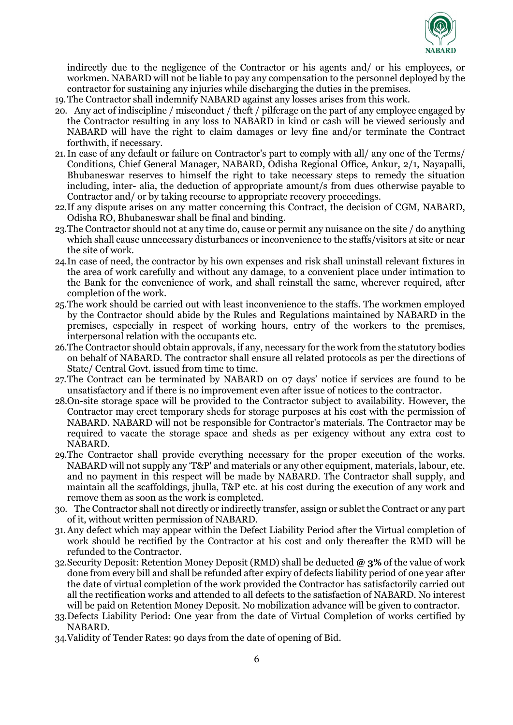

indirectly due to the negligence of the Contractor or his agents and/ or his employees, or workmen. NABARD will not be liable to pay any compensation to the personnel deployed by the contractor for sustaining any injuries while discharging the duties in the premises.

- 19.The Contractor shall indemnify NABARD against any losses arises from this work.
- 20. Any act of indiscipline / misconduct / theft / pilferage on the part of any employee engaged by the Contractor resulting in any loss to NABARD in kind or cash will be viewed seriously and NABARD will have the right to claim damages or levy fine and/or terminate the Contract forthwith, if necessary.
- 21.In case of any default or failure on Contractor's part to comply with all/ any one of the Terms/ Conditions, Chief General Manager, NABARD, Odisha Regional Office, Ankur, 2/1, Nayapalli, Bhubaneswar reserves to himself the right to take necessary steps to remedy the situation including, inter- alia, the deduction of appropriate amount/s from dues otherwise payable to Contractor and/ or by taking recourse to appropriate recovery proceedings.
- 22.If any dispute arises on any matter concerning this Contract, the decision of CGM, NABARD, Odisha RO, Bhubaneswar shall be final and binding.
- 23.The Contractor should not at any time do, cause or permit any nuisance on the site / do anything which shall cause unnecessary disturbances or inconvenience to the staffs/visitors at site or near the site of work.
- 24.In case of need, the contractor by his own expenses and risk shall uninstall relevant fixtures in the area of work carefully and without any damage, to a convenient place under intimation to the Bank for the convenience of work, and shall reinstall the same, wherever required, after completion of the work.
- 25.The work should be carried out with least inconvenience to the staffs. The workmen employed by the Contractor should abide by the Rules and Regulations maintained by NABARD in the premises, especially in respect of working hours, entry of the workers to the premises, interpersonal relation with the occupants etc.
- 26.The Contractor should obtain approvals, if any, necessary for the work from the statutory bodies on behalf of NABARD. The contractor shall ensure all related protocols as per the directions of State/ Central Govt. issued from time to time.
- 27.The Contract can be terminated by NABARD on 07 days' notice if services are found to be unsatisfactory and if there is no improvement even after issue of notices to the contractor.
- 28.On-site storage space will be provided to the Contractor subject to availability. However, the Contractor may erect temporary sheds for storage purposes at his cost with the permission of NABARD. NABARD will not be responsible for Contractor's materials. The Contractor may be required to vacate the storage space and sheds as per exigency without any extra cost to NABARD.
- 29.The Contractor shall provide everything necessary for the proper execution of the works. NABARD will not supply any 'T&P' and materials or any other equipment, materials, labour, etc. and no payment in this respect will be made by NABARD. The Contractor shall supply, and maintain all the scaffoldings, jhulla, T&P etc. at his cost during the execution of any work and remove them as soon as the work is completed.
- 30. The Contractor shall not directly or indirectly transfer, assign or sublet the Contract or any part of it, without written permission of NABARD.
- 31.Any defect which may appear within the Defect Liability Period after the Virtual completion of work should be rectified by the Contractor at his cost and only thereafter the RMD will be refunded to the Contractor.
- 32. Security Deposit: Retention Money Deposit (RMD) shall be deducted  $\omega$  3% of the value of work done from every bill and shall be refunded after expiry of defects liability period of one year after the date of virtual completion of the work provided the Contractor has satisfactorily carried out all the rectification works and attended to all defects to the satisfaction of NABARD. No interest will be paid on Retention Money Deposit. No mobilization advance will be given to contractor.
- 33.Defects Liability Period: One year from the date of Virtual Completion of works certified by NABARD.
- 34.Validity of Tender Rates: 90 days from the date of opening of Bid.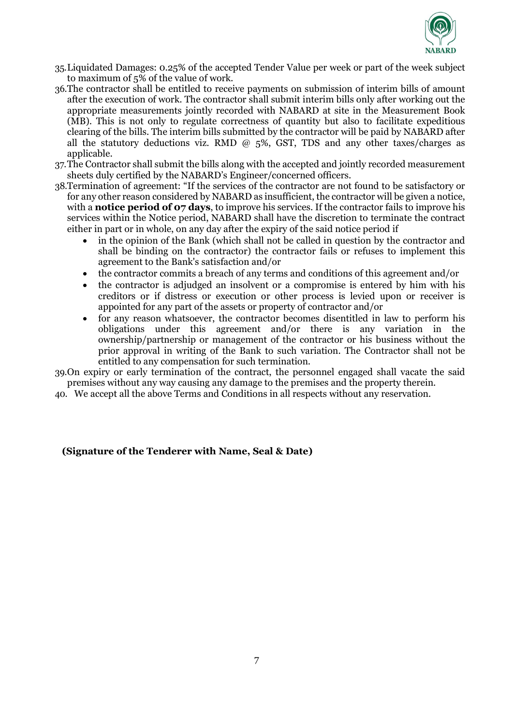

- 35.Liquidated Damages: 0.25% of the accepted Tender Value per week or part of the week subject to maximum of 5% of the value of work.
- 36.The contractor shall be entitled to receive payments on submission of interim bills of amount after the execution of work. The contractor shall submit interim bills only after working out the appropriate measurements jointly recorded with NABARD at site in the Measurement Book (MB). This is not only to regulate correctness of quantity but also to facilitate expeditious clearing of the bills. The interim bills submitted by the contractor will be paid by NABARD after all the statutory deductions viz. RMD  $\omega$  5%, GST, TDS and any other taxes/charges as applicable.
- 37.The Contractor shall submit the bills along with the accepted and jointly recorded measurement sheets duly certified by the NABARD's Engineer/concerned officers.
- 38.Termination of agreement: "If the services of the contractor are not found to be satisfactory or for any other reason considered by NABARD as insufficient, the contractor will be given a notice, with a **notice period of 07 days**, to improve his services. If the contractor fails to improve his services within the Notice period, NABARD shall have the discretion to terminate the contract either in part or in whole, on any day after the expiry of the said notice period if
	- in the opinion of the Bank (which shall not be called in question by the contractor and shall be binding on the contractor) the contractor fails or refuses to implement this agreement to the Bank's satisfaction and/or
	- the contractor commits a breach of any terms and conditions of this agreement and/or
	- the contractor is adjudged an insolvent or a compromise is entered by him with his creditors or if distress or execution or other process is levied upon or receiver is appointed for any part of the assets or property of contractor and/or
	- for any reason whatsoever, the contractor becomes disentitled in law to perform his obligations under this agreement and/or there is any variation in the ownership/partnership or management of the contractor or his business without the prior approval in writing of the Bank to such variation. The Contractor shall not be entitled to any compensation for such termination.

39.On expiry or early termination of the contract, the personnel engaged shall vacate the said premises without any way causing any damage to the premises and the property therein.

40. We accept all the above Terms and Conditions in all respects without any reservation.

#### (Signature of the Tenderer with Name, Seal & Date)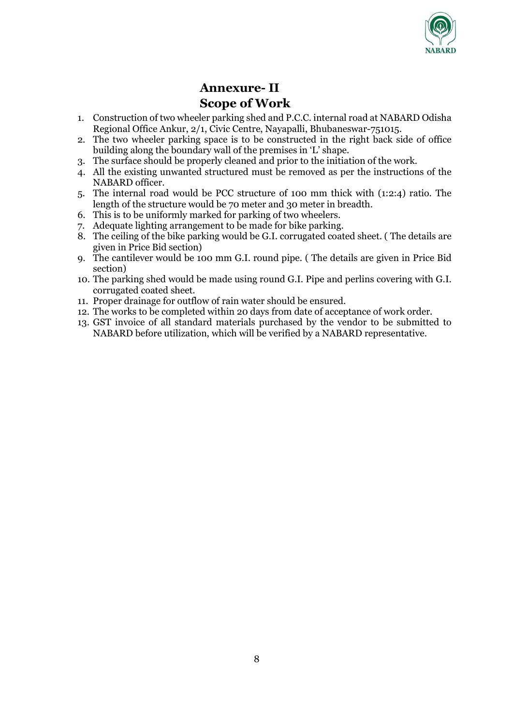

# Annexure- II Scope of Work

- 1. Construction of two wheeler parking shed and P.C.C. internal road at NABARD Odisha Regional Office Ankur, 2/1, Civic Centre, Nayapalli, Bhubaneswar-751015.
- 2. The two wheeler parking space is to be constructed in the right back side of office building along the boundary wall of the premises in 'L' shape.
- 3. The surface should be properly cleaned and prior to the initiation of the work.
- 4. All the existing unwanted structured must be removed as per the instructions of the NABARD officer.
- 5. The internal road would be PCC structure of 100 mm thick with (1:2:4) ratio. The length of the structure would be 70 meter and 30 meter in breadth.
- 6. This is to be uniformly marked for parking of two wheelers.
- 7. Adequate lighting arrangement to be made for bike parking.
- 8. The ceiling of the bike parking would be G.I. corrugated coated sheet. ( The details are given in Price Bid section)
- 9. The cantilever would be 100 mm G.I. round pipe. ( The details are given in Price Bid section)
- 10. The parking shed would be made using round G.I. Pipe and perlins covering with G.I. corrugated coated sheet.
- 11. Proper drainage for outflow of rain water should be ensured.
- 12. The works to be completed within 20 days from date of acceptance of work order.
- 13. GST invoice of all standard materials purchased by the vendor to be submitted to NABARD before utilization, which will be verified by a NABARD representative.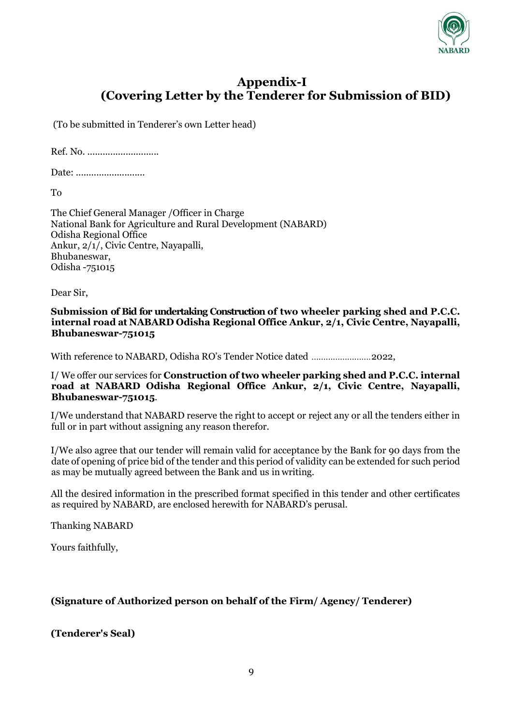

# Appendix-I (Covering Letter by the Tenderer for Submission of BID)

(To be submitted in Tenderer's own Letter head)

Ref. No. ............................

Date: ...............................

To

The Chief General Manager /Officer in Charge National Bank for Agriculture and Rural Development (NABARD) Odisha Regional Office Ankur, 2/1/, Civic Centre, Nayapalli, Bhubaneswar, Odisha -751015

Dear Sir,

Submission of Bid for undertaking Construction of two wheeler parking shed and P.C.C. internal road at NABARD Odisha Regional Office Ankur, 2/1, Civic Centre, Nayapalli, Bhubaneswar-751015

With reference to NABARD, Odisha RO's Tender Notice dated ......................... 2022,

I/ We offer our services for Construction of two wheeler parking shed and P.C.C. internal road at NABARD Odisha Regional Office Ankur, 2/1, Civic Centre, Nayapalli, Bhubaneswar-751015.

I/We understand that NABARD reserve the right to accept or reject any or all the tenders either in full or in part without assigning any reason therefor.

I/We also agree that our tender will remain valid for acceptance by the Bank for 90 days from the date of opening of price bid of the tender and this period of validity can be extended for such period as may be mutually agreed between the Bank and us in writing.

All the desired information in the prescribed format specified in this tender and other certificates as required by NABARD, are enclosed herewith for NABARD's perusal.

Thanking NABARD

Yours faithfully,

## (Signature of Authorized person on behalf of the Firm/ Agency/ Tenderer)

(Tenderer's Seal)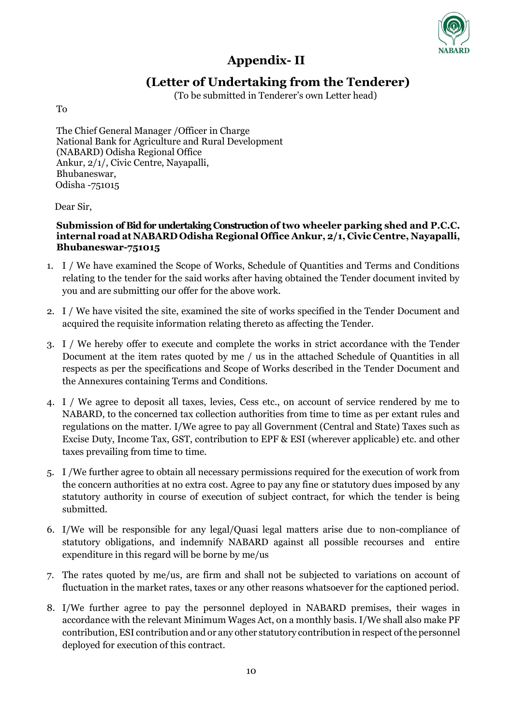

# Appendix- II

# (Letter of Undertaking from the Tenderer)

(To be submitted in Tenderer's own Letter head)

To

The Chief General Manager /Officer in Charge National Bank for Agriculture and Rural Development (NABARD) Odisha Regional Office Ankur, 2/1/, Civic Centre, Nayapalli, Bhubaneswar, Odisha -751015

Dear Sir,

### Submission of Bid for undertaking Construction of two wheeler parking shed and P.C.C. internal road at NABARD Odisha Regional Office Ankur, 2/1, Civic Centre, Nayapalli, Bhubaneswar-751015

- 1. I / We have examined the Scope of Works, Schedule of Quantities and Terms and Conditions relating to the tender for the said works after having obtained the Tender document invited by you and are submitting our offer for the above work.
- 2. I / We have visited the site, examined the site of works specified in the Tender Document and acquired the requisite information relating thereto as affecting the Tender.
- 3. I / We hereby offer to execute and complete the works in strict accordance with the Tender Document at the item rates quoted by me / us in the attached Schedule of Quantities in all respects as per the specifications and Scope of Works described in the Tender Document and the Annexures containing Terms and Conditions.
- 4. I / We agree to deposit all taxes, levies, Cess etc., on account of service rendered by me to NABARD, to the concerned tax collection authorities from time to time as per extant rules and regulations on the matter. I/We agree to pay all Government (Central and State) Taxes such as Excise Duty, Income Tax, GST, contribution to EPF & ESI (wherever applicable) etc. and other taxes prevailing from time to time.
- 5. I /We further agree to obtain all necessary permissions required for the execution of work from the concern authorities at no extra cost. Agree to pay any fine or statutory dues imposed by any statutory authority in course of execution of subject contract, for which the tender is being submitted.
- 6. I/We will be responsible for any legal/Quasi legal matters arise due to non-compliance of statutory obligations, and indemnify NABARD against all possible recourses and entire expenditure in this regard will be borne by me/us
- 7. The rates quoted by me/us, are firm and shall not be subjected to variations on account of fluctuation in the market rates, taxes or any other reasons whatsoever for the captioned period.
- 8. I/We further agree to pay the personnel deployed in NABARD premises, their wages in accordance with the relevant Minimum Wages Act, on a monthly basis. I/We shall also make PF contribution, ESI contribution and or any other statutory contribution in respect of the personnel deployed for execution of this contract.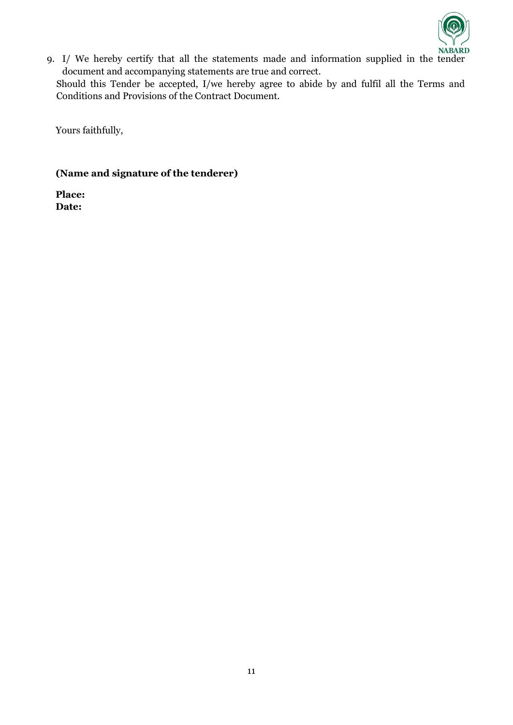

9. I/ We hereby certify that all the statements made and information supplied in the tender document and accompanying statements are true and correct.

Should this Tender be accepted, I/we hereby agree to abide by and fulfil all the Terms and Conditions and Provisions of the Contract Document.

Yours faithfully,

### (Name and signature of the tenderer)

Place: Date: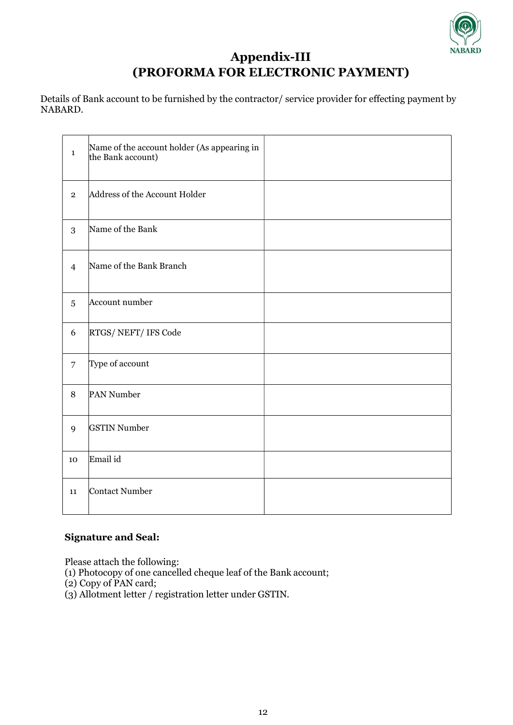

# Appendix-III (PROFORMA FOR ELECTRONIC PAYMENT)

Details of Bank account to be furnished by the contractor/ service provider for effecting payment by NABARD.

| $\mathbf{1}$     | Name of the account holder (As appearing in<br>the Bank account) |  |
|------------------|------------------------------------------------------------------|--|
| $\overline{2}$   | Address of the Account Holder                                    |  |
| 3                | Name of the Bank                                                 |  |
| $\overline{4}$   | Name of the Bank Branch                                          |  |
| $\sqrt{5}$       | Account number                                                   |  |
| $\boldsymbol{6}$ | RTGS/NEFT/IFS Code                                               |  |
| $\overline{7}$   | Type of account                                                  |  |
| $\, 8$           | PAN Number                                                       |  |
| $\mathbf{9}$     | <b>GSTIN Number</b>                                              |  |
| 10               | Email id                                                         |  |
| 11               | <b>Contact Number</b>                                            |  |

### Signature and Seal:

Please attach the following:

(1) Photocopy of one cancelled cheque leaf of the Bank account;

- (2) Copy of PAN card;
- (3) Allotment letter / registration letter under GSTIN.